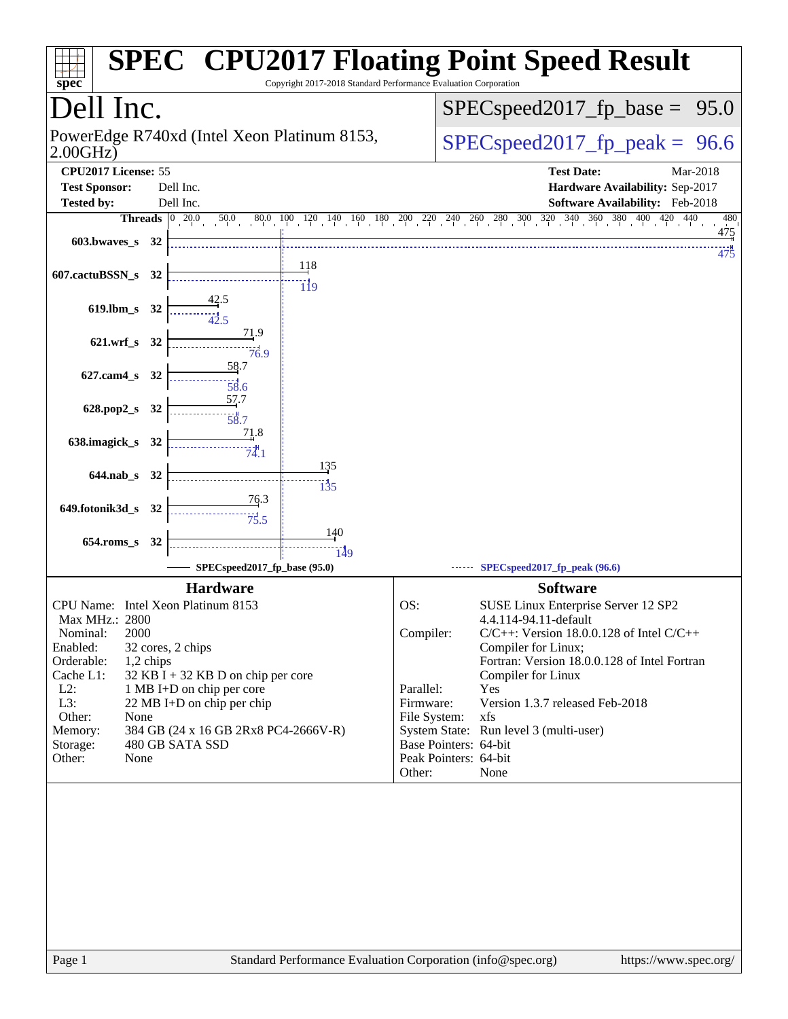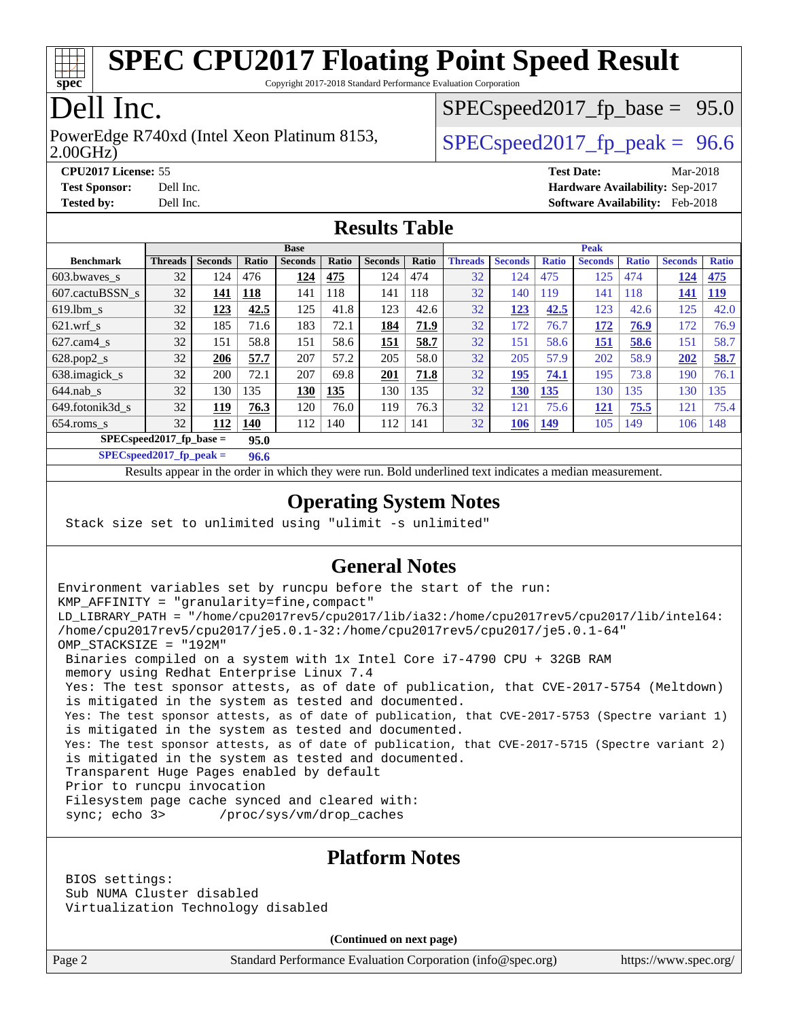

Copyright 2017-2018 Standard Performance Evaluation Corporation

## Dell Inc.

2.00GHz) PowerEdge R740xd (Intel Xeon Platinum 8153,  $\vert$  [SPECspeed2017\\_fp\\_peak =](http://www.spec.org/auto/cpu2017/Docs/result-fields.html#SPECspeed2017fppeak) 96.6

 $SPECspeed2017_fp\_base = 95.0$ 

**[CPU2017 License:](http://www.spec.org/auto/cpu2017/Docs/result-fields.html#CPU2017License)** 55 **[Test Date:](http://www.spec.org/auto/cpu2017/Docs/result-fields.html#TestDate)** Mar-2018 **[Test Sponsor:](http://www.spec.org/auto/cpu2017/Docs/result-fields.html#TestSponsor)** Dell Inc. **[Hardware Availability:](http://www.spec.org/auto/cpu2017/Docs/result-fields.html#HardwareAvailability)** Sep-2017 **[Tested by:](http://www.spec.org/auto/cpu2017/Docs/result-fields.html#Testedby)** Dell Inc. **[Software Availability:](http://www.spec.org/auto/cpu2017/Docs/result-fields.html#SoftwareAvailability)** Feb-2018

#### **[Results Table](http://www.spec.org/auto/cpu2017/Docs/result-fields.html#ResultsTable)**

|                                     | <b>Base</b>    |                |            |                |       | <b>Peak</b>    |       |                |                |              |                |              |                |              |
|-------------------------------------|----------------|----------------|------------|----------------|-------|----------------|-------|----------------|----------------|--------------|----------------|--------------|----------------|--------------|
| <b>Benchmark</b>                    | <b>Threads</b> | <b>Seconds</b> | Ratio      | <b>Seconds</b> | Ratio | <b>Seconds</b> | Ratio | <b>Threads</b> | <b>Seconds</b> | <b>Ratio</b> | <b>Seconds</b> | <b>Ratio</b> | <b>Seconds</b> | <b>Ratio</b> |
| 603.bwayes s                        | 32             | 124            | 476        | 124            | 475   | 124            | 474   | 32             | 124            | 475          | 125            | 474          | 124            | 475          |
| 607.cactuBSSN s                     | 32             | 141            | <b>118</b> | 141            | 118   | 141            | 118   | 32             | 140            | 119          | 141            | 118          | 141            | <u>119</u>   |
| $619.$ lbm s                        | 32             | 123            | 42.5       | 125            | 41.8  | 123            | 42.6  | 32             | 123            | 42.5         | 123            | 42.6         | 125            | 42.0         |
| $621$ wrf s                         | 32             | 185            | 71.6       | 183            | 72.1  | 184            | 71.9  | 32             | 172            | 76.7         | 172            | 76.9         | 172            | 76.9         |
| $627$ .cam4 s                       | 32             | 151            | 58.8       | 151            | 58.6  | 151            | 58.7  | 32             | 151            | 58.6         | 151            | 58.6         | 151            | 58.7         |
| $628.pop2_s$                        | 32             | 206            | 57.7       | 207            | 57.2  | 205            | 58.0  | 32             | 205            | 57.9         | 202            | 58.9         | 202            | 58.7         |
| 638.imagick_s                       | 32             | 200            | 72.1       | 207            | 69.8  | 201            | 71.8  | 32             | 195            | 74.1         | 195            | 73.8         | 190            | 76.1         |
| $644$ .nab s                        | 32             | 130            | 135        | 130            | 135   | 130            | 135   | 32             | 130            | 135          | 130            | 135          | 130            | 135          |
| 649.fotonik3d s                     | 32             | 119            | 76.3       | 120            | 76.0  | 119            | 76.3  | 32             | 121            | 75.6         | <u>121</u>     | 75.5         | 121            | 75.4         |
| $654$ .roms_s                       | 32             | 112            | 140        | 112            | 140   | 112            | 141   | 32             | 106            | <u>149</u>   | 105            | 149          | 106            | 148          |
| $SPEC speed2017_fp\_base =$<br>95.0 |                |                |            |                |       |                |       |                |                |              |                |              |                |              |

**[SPECspeed2017\\_fp\\_peak =](http://www.spec.org/auto/cpu2017/Docs/result-fields.html#SPECspeed2017fppeak) 96.6**

Results appear in the [order in which they were run.](http://www.spec.org/auto/cpu2017/Docs/result-fields.html#RunOrder) Bold underlined text [indicates a median measurement](http://www.spec.org/auto/cpu2017/Docs/result-fields.html#Median).

#### **[Operating System Notes](http://www.spec.org/auto/cpu2017/Docs/result-fields.html#OperatingSystemNotes)**

Stack size set to unlimited using "ulimit -s unlimited"

#### **[General Notes](http://www.spec.org/auto/cpu2017/Docs/result-fields.html#GeneralNotes)**

Environment variables set by runcpu before the start of the run: KMP\_AFFINITY = "granularity=fine,compact" LD\_LIBRARY\_PATH = "/home/cpu2017rev5/cpu2017/lib/ia32:/home/cpu2017rev5/cpu2017/lib/intel64: /home/cpu2017rev5/cpu2017/je5.0.1-32:/home/cpu2017rev5/cpu2017/je5.0.1-64" OMP\_STACKSIZE = "192M" Binaries compiled on a system with 1x Intel Core i7-4790 CPU + 32GB RAM memory using Redhat Enterprise Linux 7.4 Yes: The test sponsor attests, as of date of publication, that CVE-2017-5754 (Meltdown) is mitigated in the system as tested and documented. Yes: The test sponsor attests, as of date of publication, that CVE-2017-5753 (Spectre variant 1) is mitigated in the system as tested and documented. Yes: The test sponsor attests, as of date of publication, that CVE-2017-5715 (Spectre variant 2) is mitigated in the system as tested and documented. Transparent Huge Pages enabled by default Prior to runcpu invocation Filesystem page cache synced and cleared with: sync; echo 3> /proc/sys/vm/drop\_caches

#### **[Platform Notes](http://www.spec.org/auto/cpu2017/Docs/result-fields.html#PlatformNotes)**

 BIOS settings: Sub NUMA Cluster disabled Virtualization Technology disabled

**(Continued on next page)**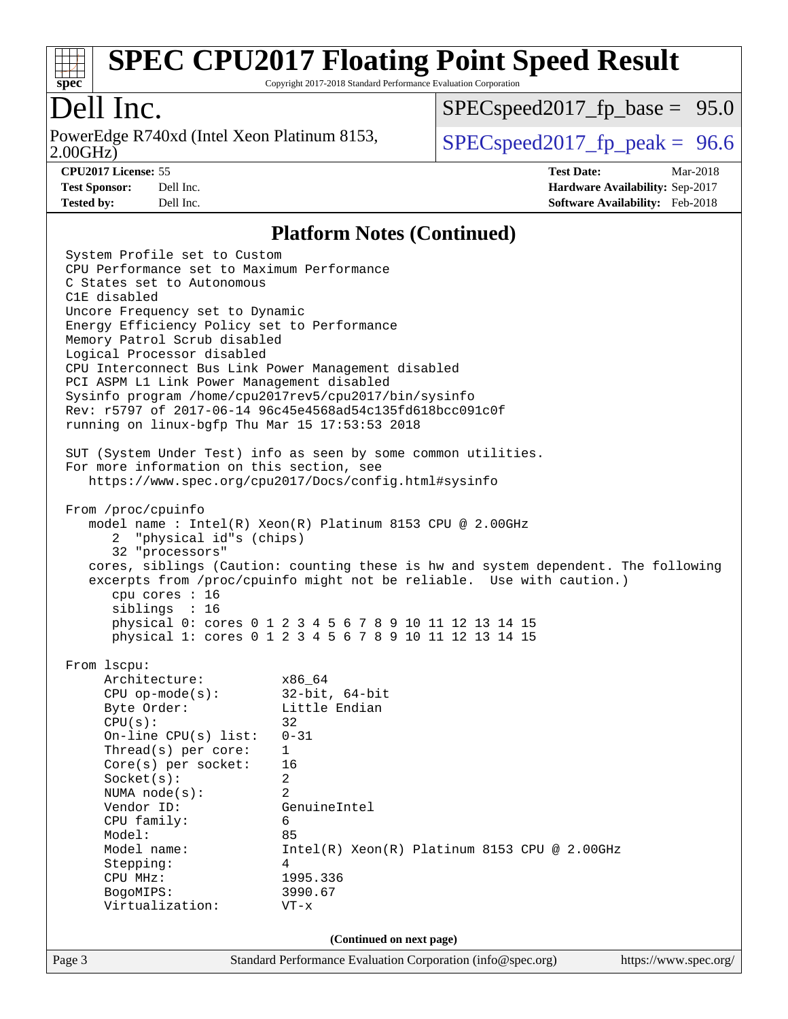

Copyright 2017-2018 Standard Performance Evaluation Corporation

## Dell Inc.

2.00GHz) PowerEdge R740xd (Intel Xeon Platinum 8153,  $\vert$  [SPECspeed2017\\_fp\\_peak =](http://www.spec.org/auto/cpu2017/Docs/result-fields.html#SPECspeed2017fppeak) 96.6

 $SPECspeed2017_fp\_base = 95.0$ 

**[CPU2017 License:](http://www.spec.org/auto/cpu2017/Docs/result-fields.html#CPU2017License)** 55 **[Test Date:](http://www.spec.org/auto/cpu2017/Docs/result-fields.html#TestDate)** Mar-2018 **[Test Sponsor:](http://www.spec.org/auto/cpu2017/Docs/result-fields.html#TestSponsor)** Dell Inc. **[Hardware Availability:](http://www.spec.org/auto/cpu2017/Docs/result-fields.html#HardwareAvailability)** Sep-2017 **[Tested by:](http://www.spec.org/auto/cpu2017/Docs/result-fields.html#Testedby)** Dell Inc. **[Software Availability:](http://www.spec.org/auto/cpu2017/Docs/result-fields.html#SoftwareAvailability)** Feb-2018

#### **[Platform Notes \(Continued\)](http://www.spec.org/auto/cpu2017/Docs/result-fields.html#PlatformNotes)**

Page 3 Standard Performance Evaluation Corporation [\(info@spec.org\)](mailto:info@spec.org) <https://www.spec.org/> System Profile set to Custom CPU Performance set to Maximum Performance C States set to Autonomous C1E disabled Uncore Frequency set to Dynamic Energy Efficiency Policy set to Performance Memory Patrol Scrub disabled Logical Processor disabled CPU Interconnect Bus Link Power Management disabled PCI ASPM L1 Link Power Management disabled Sysinfo program /home/cpu2017rev5/cpu2017/bin/sysinfo Rev: r5797 of 2017-06-14 96c45e4568ad54c135fd618bcc091c0f running on linux-bgfp Thu Mar 15 17:53:53 2018 SUT (System Under Test) info as seen by some common utilities. For more information on this section, see <https://www.spec.org/cpu2017/Docs/config.html#sysinfo> From /proc/cpuinfo model name : Intel(R) Xeon(R) Platinum 8153 CPU @ 2.00GHz 2 "physical id"s (chips) 32 "processors" cores, siblings (Caution: counting these is hw and system dependent. The following excerpts from /proc/cpuinfo might not be reliable. Use with caution.) cpu cores : 16 siblings : 16 physical 0: cores 0 1 2 3 4 5 6 7 8 9 10 11 12 13 14 15 physical 1: cores 0 1 2 3 4 5 6 7 8 9 10 11 12 13 14 15 From lscpu: Architecture: x86\_64 CPU op-mode(s): 32-bit, 64-bit Byte Order: Little Endian  $CPU(s):$  32 On-line CPU(s) list: 0-31 Thread(s) per core: 1 Core(s) per socket: 16 Socket(s): 2 NUMA node(s): 2 Vendor ID: GenuineIntel CPU family: 6 Model: 85 Model name: Intel(R) Xeon(R) Platinum 8153 CPU @ 2.00GHz Stepping: 4 CPU MHz: 1995.336 BogoMIPS: 3990.67 Virtualization: VT-x **(Continued on next page)**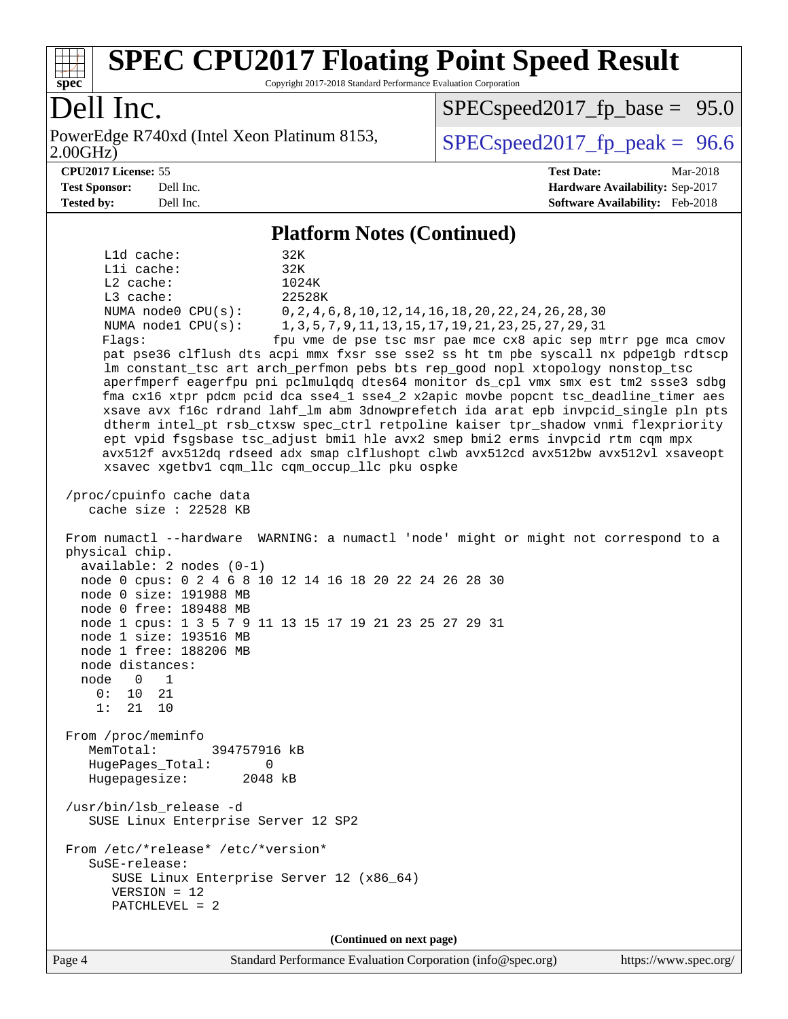

Copyright 2017-2018 Standard Performance Evaluation Corporation

## Dell Inc.

2.00GHz) PowerEdge R740xd (Intel Xeon Platinum 8153,  $\vert$  [SPECspeed2017\\_fp\\_peak =](http://www.spec.org/auto/cpu2017/Docs/result-fields.html#SPECspeed2017fppeak) 96.6

 $SPECspeed2017_fp\_base = 95.0$ 

**[CPU2017 License:](http://www.spec.org/auto/cpu2017/Docs/result-fields.html#CPU2017License)** 55 **[Test Date:](http://www.spec.org/auto/cpu2017/Docs/result-fields.html#TestDate)** Mar-2018 **[Test Sponsor:](http://www.spec.org/auto/cpu2017/Docs/result-fields.html#TestSponsor)** Dell Inc. **[Hardware Availability:](http://www.spec.org/auto/cpu2017/Docs/result-fields.html#HardwareAvailability)** Sep-2017 **[Tested by:](http://www.spec.org/auto/cpu2017/Docs/result-fields.html#Testedby)** Dell Inc. **[Software Availability:](http://www.spec.org/auto/cpu2017/Docs/result-fields.html#SoftwareAvailability)** Feb-2018

#### **[Platform Notes \(Continued\)](http://www.spec.org/auto/cpu2017/Docs/result-fields.html#PlatformNotes)**

 L1d cache: 32K L1i cache: 32K L2 cache: 1024K L3 cache: 22528K NUMA node0 CPU(s): 0,2,4,6,8,10,12,14,16,18,20,22,24,26,28,30 NUMA node1 CPU(s): 1,3,5,7,9,11,13,15,17,19,21,23,25,27,29,31 Flags: fpu vme de pse tsc msr pae mce cx8 apic sep mtrr pge mca cmov pat pse36 clflush dts acpi mmx fxsr sse sse2 ss ht tm pbe syscall nx pdpe1gb rdtscp lm constant\_tsc art arch\_perfmon pebs bts rep\_good nopl xtopology nonstop\_tsc aperfmperf eagerfpu pni pclmulqdq dtes64 monitor ds\_cpl vmx smx est tm2 ssse3 sdbg fma cx16 xtpr pdcm pcid dca sse4\_1 sse4\_2 x2apic movbe popcnt tsc\_deadline\_timer aes xsave avx f16c rdrand lahf\_lm abm 3dnowprefetch ida arat epb invpcid\_single pln pts dtherm intel\_pt rsb\_ctxsw spec\_ctrl retpoline kaiser tpr\_shadow vnmi flexpriority ept vpid fsgsbase tsc\_adjust bmi1 hle avx2 smep bmi2 erms invpcid rtm cqm mpx avx512f avx512dq rdseed adx smap clflushopt clwb avx512cd avx512bw avx512vl xsaveopt xsavec xgetbv1 cqm\_llc cqm\_occup\_llc pku ospke /proc/cpuinfo cache data cache size : 22528 KB From numactl --hardware WARNING: a numactl 'node' might or might not correspond to a physical chip. available: 2 nodes (0-1) node 0 cpus: 0 2 4 6 8 10 12 14 16 18 20 22 24 26 28 30 node 0 size: 191988 MB node 0 free: 189488 MB node 1 cpus: 1 3 5 7 9 11 13 15 17 19 21 23 25 27 29 31 node 1 size: 193516 MB node 1 free: 188206 MB node distances: node 0 1  $0: 10 21$  1: 21 10 From /proc/meminfo MemTotal: 394757916 kB HugePages\_Total: 0 Hugepagesize: 2048 kB /usr/bin/lsb\_release -d SUSE Linux Enterprise Server 12 SP2 From /etc/\*release\* /etc/\*version\* SuSE-release: SUSE Linux Enterprise Server 12 (x86\_64) VERSION = 12 PATCHLEVEL = 2 **(Continued on next page)**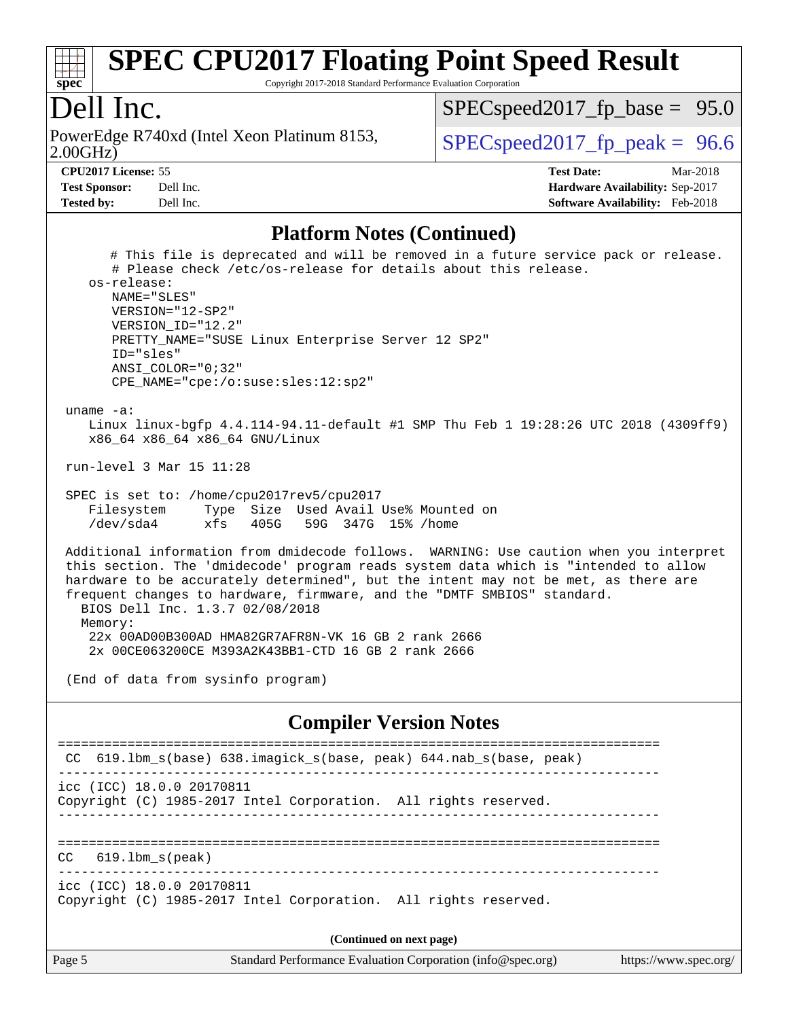

Copyright 2017-2018 Standard Performance Evaluation Corporation

#### Dell Inc.

2.00GHz) PowerEdge R740xd (Intel Xeon Platinum 8153,  $\vert$  [SPECspeed2017\\_fp\\_peak =](http://www.spec.org/auto/cpu2017/Docs/result-fields.html#SPECspeed2017fppeak) 96.6

 $SPECspeed2017_fp\_base = 95.0$ 

**[Test Sponsor:](http://www.spec.org/auto/cpu2017/Docs/result-fields.html#TestSponsor)** Dell Inc. **[Hardware Availability:](http://www.spec.org/auto/cpu2017/Docs/result-fields.html#HardwareAvailability)** Sep-2017 **[Tested by:](http://www.spec.org/auto/cpu2017/Docs/result-fields.html#Testedby)** Dell Inc. **[Software Availability:](http://www.spec.org/auto/cpu2017/Docs/result-fields.html#SoftwareAvailability)** Feb-2018

**[CPU2017 License:](http://www.spec.org/auto/cpu2017/Docs/result-fields.html#CPU2017License)** 55 **[Test Date:](http://www.spec.org/auto/cpu2017/Docs/result-fields.html#TestDate)** Mar-2018

#### **[Platform Notes \(Continued\)](http://www.spec.org/auto/cpu2017/Docs/result-fields.html#PlatformNotes)**

 # This file is deprecated and will be removed in a future service pack or release. # Please check /etc/os-release for details about this release. os-release: NAME="SLES" VERSION="12-SP2" VERSION\_ID="12.2" PRETTY\_NAME="SUSE Linux Enterprise Server 12 SP2" ID="sles" ANSI\_COLOR="0;32" CPE\_NAME="cpe:/o:suse:sles:12:sp2" uname -a: Linux linux-bgfp 4.4.114-94.11-default #1 SMP Thu Feb 1 19:28:26 UTC 2018 (4309ff9) x86\_64 x86\_64 x86\_64 GNU/Linux run-level 3 Mar 15 11:28 SPEC is set to: /home/cpu2017rev5/cpu2017 Filesystem Type Size Used Avail Use% Mounted on /dev/sda4 xfs 405G 59G 347G 15% /home Additional information from dmidecode follows. WARNING: Use caution when you interpret this section. The 'dmidecode' program reads system data which is "intended to allow hardware to be accurately determined", but the intent may not be met, as there are frequent changes to hardware, firmware, and the "DMTF SMBIOS" standard. BIOS Dell Inc. 1.3.7 02/08/2018 Memory: 22x 00AD00B300AD HMA82GR7AFR8N-VK 16 GB 2 rank 2666 2x 00CE063200CE M393A2K43BB1-CTD 16 GB 2 rank 2666

(End of data from sysinfo program)

#### **[Compiler Version Notes](http://www.spec.org/auto/cpu2017/Docs/result-fields.html#CompilerVersionNotes)**

| CC 619.1bm_s(base) 638.imagick_s(base, peak) 644.nab_s(base, peak)                           |  |  |  |  |
|----------------------------------------------------------------------------------------------|--|--|--|--|
| icc (ICC) 18.0.0 20170811<br>Copyright (C) 1985-2017 Intel Corporation. All rights reserved. |  |  |  |  |
| $CC$ 619.1bm $s$ (peak)                                                                      |  |  |  |  |
| icc (ICC) 18.0.0 20170811<br>Copyright (C) 1985-2017 Intel Corporation. All rights reserved. |  |  |  |  |
| (Continued on next page)                                                                     |  |  |  |  |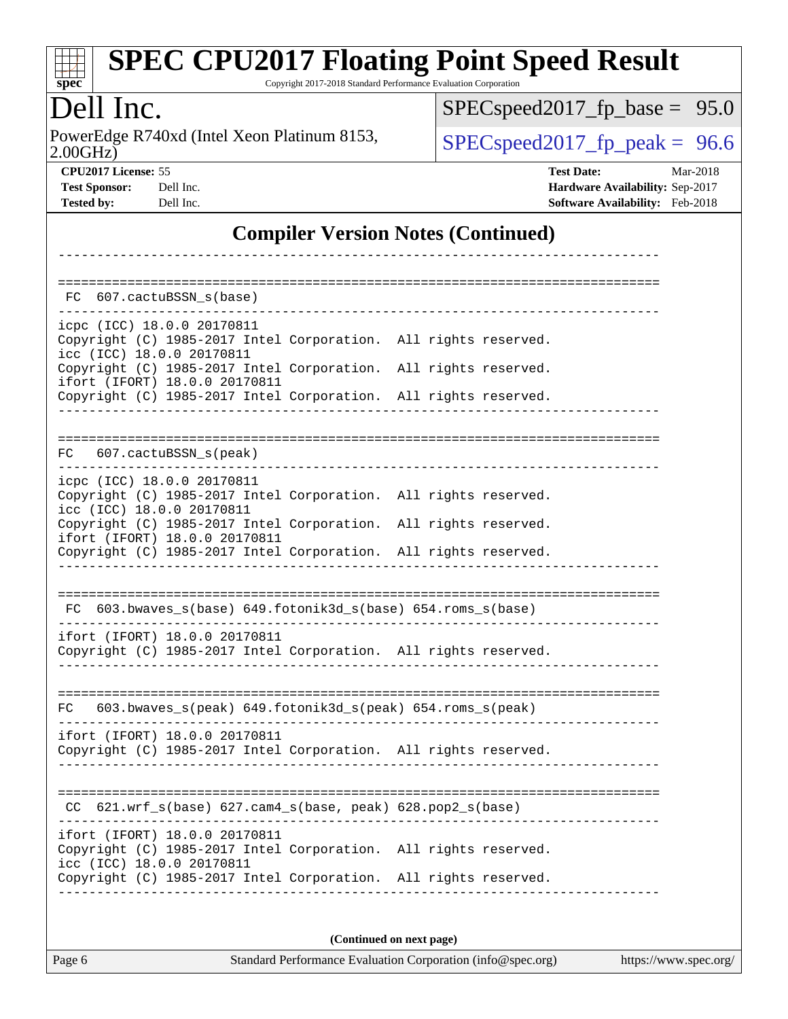|          | SPEC CPU2017 Floating Point Speed Result                        |  |
|----------|-----------------------------------------------------------------|--|
| $spec^*$ | Copyright 2017-2018 Standard Performance Evaluation Corporation |  |
|          |                                                                 |  |

## Dell Inc.

2.00GHz) PowerEdge R740xd (Intel Xeon Platinum 8153,  $\big|$  [SPECspeed2017\\_fp\\_peak =](http://www.spec.org/auto/cpu2017/Docs/result-fields.html#SPECspeed2017fppeak) 96.6

[SPECspeed2017\\_fp\\_base =](http://www.spec.org/auto/cpu2017/Docs/result-fields.html#SPECspeed2017fpbase) 95.0

**[CPU2017 License:](http://www.spec.org/auto/cpu2017/Docs/result-fields.html#CPU2017License)** 55 **[Test Date:](http://www.spec.org/auto/cpu2017/Docs/result-fields.html#TestDate)** Mar-2018 **[Test Sponsor:](http://www.spec.org/auto/cpu2017/Docs/result-fields.html#TestSponsor)** Dell Inc. **[Hardware Availability:](http://www.spec.org/auto/cpu2017/Docs/result-fields.html#HardwareAvailability)** Sep-2017 **[Tested by:](http://www.spec.org/auto/cpu2017/Docs/result-fields.html#Testedby)** Dell Inc. **[Software Availability:](http://www.spec.org/auto/cpu2017/Docs/result-fields.html#SoftwareAvailability)** Feb-2018

#### **[Compiler Version Notes \(Continued\)](http://www.spec.org/auto/cpu2017/Docs/result-fields.html#CompilerVersionNotes)**

| FC<br>607.cactuBSSN s(base)                                                                                                                                                                                                    |                          |
|--------------------------------------------------------------------------------------------------------------------------------------------------------------------------------------------------------------------------------|--------------------------|
| icpc (ICC) 18.0.0 20170811<br>Copyright (C) 1985-2017 Intel Corporation. All rights reserved.<br>icc (ICC) 18.0.0 20170811<br>Copyright (C) 1985-2017 Intel Corporation. All rights reserved.<br>ifort (IFORT) 18.0.0 20170811 |                          |
| Copyright (C) 1985-2017 Intel Corporation. All rights reserved.                                                                                                                                                                |                          |
| FC 607.cactuBSSN_s(peak)                                                                                                                                                                                                       |                          |
| icpc (ICC) 18.0.0 20170811<br>Copyright (C) 1985-2017 Intel Corporation. All rights reserved.<br>icc (ICC) 18.0.0 20170811                                                                                                     |                          |
| Copyright (C) 1985-2017 Intel Corporation. All rights reserved.<br>ifort (IFORT) 18.0.0 20170811                                                                                                                               |                          |
| Copyright (C) 1985-2017 Intel Corporation. All rights reserved.                                                                                                                                                                |                          |
| FC 603.bwaves_s(base) 649.fotonik3d_s(base) 654.roms_s(base)<br>ifort (IFORT) 18.0.0 20170811                                                                                                                                  |                          |
| Copyright (C) 1985-2017 Intel Corporation. All rights reserved.                                                                                                                                                                |                          |
| 603.bwaves_s(peak) 649.fotonik3d_s(peak) 654.roms_s(peak)<br>FC.                                                                                                                                                               |                          |
| ifort (IFORT) 18.0.0 20170811<br>Copyright (C) 1985-2017 Intel Corporation. All rights reserved.                                                                                                                               |                          |
| $621.wrf_s(base)$ $627.cam4_s(base, peak)$ $628.pop2_s(base)$<br>CC.                                                                                                                                                           |                          |
| ifort (IFORT) 18.0.0 20170811<br>Copyright (C) 1985-2017 Intel Corporation. All rights reserved.<br>icc (ICC) 18.0.0 20170811                                                                                                  |                          |
| Copyright (C) 1985-2017 Intel Corporation. All rights reserved.                                                                                                                                                                |                          |
|                                                                                                                                                                                                                                | (Continued on next page) |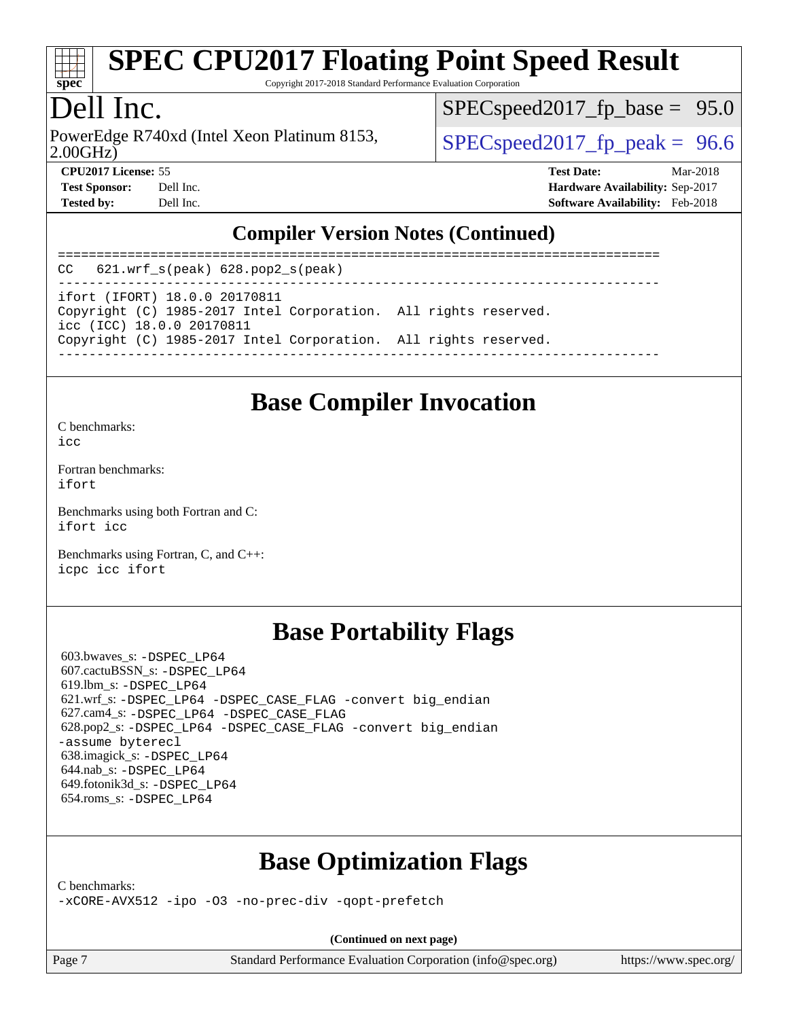

Copyright 2017-2018 Standard Performance Evaluation Corporation

## Dell Inc.

PowerEdge R740xd (Intel Xeon Platinum 8153,  $\vert$  [SPECspeed2017\\_fp\\_peak =](http://www.spec.org/auto/cpu2017/Docs/result-fields.html#SPECspeed2017fppeak) 96.6

 $SPECspeed2017_fp\_base = 95.0$ 

2.00GHz)

**[CPU2017 License:](http://www.spec.org/auto/cpu2017/Docs/result-fields.html#CPU2017License)** 55 **[Test Date:](http://www.spec.org/auto/cpu2017/Docs/result-fields.html#TestDate)** Mar-2018

**[Test Sponsor:](http://www.spec.org/auto/cpu2017/Docs/result-fields.html#TestSponsor)** Dell Inc. **[Hardware Availability:](http://www.spec.org/auto/cpu2017/Docs/result-fields.html#HardwareAvailability)** Sep-2017 **[Tested by:](http://www.spec.org/auto/cpu2017/Docs/result-fields.html#Testedby)** Dell Inc. **[Software Availability:](http://www.spec.org/auto/cpu2017/Docs/result-fields.html#SoftwareAvailability)** Feb-2018

#### **[Compiler Version Notes \(Continued\)](http://www.spec.org/auto/cpu2017/Docs/result-fields.html#CompilerVersionNotes)**

============================================================================== CC 621.wrf\_s(peak) 628.pop2\_s(peak) ----------------------------------------------------------------------------- ifort (IFORT) 18.0.0 20170811 Copyright (C) 1985-2017 Intel Corporation. All rights reserved. icc (ICC) 18.0.0 20170811 Copyright (C) 1985-2017 Intel Corporation. All rights reserved. ------------------------------------------------------------------------------

#### **[Base Compiler Invocation](http://www.spec.org/auto/cpu2017/Docs/result-fields.html#BaseCompilerInvocation)**

[C benchmarks](http://www.spec.org/auto/cpu2017/Docs/result-fields.html#Cbenchmarks):  $i$ cc

[Fortran benchmarks](http://www.spec.org/auto/cpu2017/Docs/result-fields.html#Fortranbenchmarks): [ifort](http://www.spec.org/cpu2017/results/res2018q2/cpu2017-20180416-04976.flags.html#user_FCbase_intel_ifort_18.0_8111460550e3ca792625aed983ce982f94888b8b503583aa7ba2b8303487b4d8a21a13e7191a45c5fd58ff318f48f9492884d4413fa793fd88dd292cad7027ca)

[Benchmarks using both Fortran and C](http://www.spec.org/auto/cpu2017/Docs/result-fields.html#BenchmarksusingbothFortranandC): [ifort](http://www.spec.org/cpu2017/results/res2018q2/cpu2017-20180416-04976.flags.html#user_CC_FCbase_intel_ifort_18.0_8111460550e3ca792625aed983ce982f94888b8b503583aa7ba2b8303487b4d8a21a13e7191a45c5fd58ff318f48f9492884d4413fa793fd88dd292cad7027ca) [icc](http://www.spec.org/cpu2017/results/res2018q2/cpu2017-20180416-04976.flags.html#user_CC_FCbase_intel_icc_18.0_66fc1ee009f7361af1fbd72ca7dcefbb700085f36577c54f309893dd4ec40d12360134090235512931783d35fd58c0460139e722d5067c5574d8eaf2b3e37e92)

[Benchmarks using Fortran, C, and C++:](http://www.spec.org/auto/cpu2017/Docs/result-fields.html#BenchmarksusingFortranCandCXX) [icpc](http://www.spec.org/cpu2017/results/res2018q2/cpu2017-20180416-04976.flags.html#user_CC_CXX_FCbase_intel_icpc_18.0_c510b6838c7f56d33e37e94d029a35b4a7bccf4766a728ee175e80a419847e808290a9b78be685c44ab727ea267ec2f070ec5dc83b407c0218cded6866a35d07) [icc](http://www.spec.org/cpu2017/results/res2018q2/cpu2017-20180416-04976.flags.html#user_CC_CXX_FCbase_intel_icc_18.0_66fc1ee009f7361af1fbd72ca7dcefbb700085f36577c54f309893dd4ec40d12360134090235512931783d35fd58c0460139e722d5067c5574d8eaf2b3e37e92) [ifort](http://www.spec.org/cpu2017/results/res2018q2/cpu2017-20180416-04976.flags.html#user_CC_CXX_FCbase_intel_ifort_18.0_8111460550e3ca792625aed983ce982f94888b8b503583aa7ba2b8303487b4d8a21a13e7191a45c5fd58ff318f48f9492884d4413fa793fd88dd292cad7027ca)

#### **[Base Portability Flags](http://www.spec.org/auto/cpu2017/Docs/result-fields.html#BasePortabilityFlags)**

 603.bwaves\_s: [-DSPEC\\_LP64](http://www.spec.org/cpu2017/results/res2018q2/cpu2017-20180416-04976.flags.html#suite_basePORTABILITY603_bwaves_s_DSPEC_LP64) 607.cactuBSSN\_s: [-DSPEC\\_LP64](http://www.spec.org/cpu2017/results/res2018q2/cpu2017-20180416-04976.flags.html#suite_basePORTABILITY607_cactuBSSN_s_DSPEC_LP64) 619.lbm\_s: [-DSPEC\\_LP64](http://www.spec.org/cpu2017/results/res2018q2/cpu2017-20180416-04976.flags.html#suite_basePORTABILITY619_lbm_s_DSPEC_LP64) 621.wrf\_s: [-DSPEC\\_LP64](http://www.spec.org/cpu2017/results/res2018q2/cpu2017-20180416-04976.flags.html#suite_basePORTABILITY621_wrf_s_DSPEC_LP64) [-DSPEC\\_CASE\\_FLAG](http://www.spec.org/cpu2017/results/res2018q2/cpu2017-20180416-04976.flags.html#b621.wrf_s_baseCPORTABILITY_DSPEC_CASE_FLAG) [-convert big\\_endian](http://www.spec.org/cpu2017/results/res2018q2/cpu2017-20180416-04976.flags.html#user_baseFPORTABILITY621_wrf_s_convert_big_endian_c3194028bc08c63ac5d04de18c48ce6d347e4e562e8892b8bdbdc0214820426deb8554edfa529a3fb25a586e65a3d812c835984020483e7e73212c4d31a38223) 627.cam4\_s: [-DSPEC\\_LP64](http://www.spec.org/cpu2017/results/res2018q2/cpu2017-20180416-04976.flags.html#suite_basePORTABILITY627_cam4_s_DSPEC_LP64) [-DSPEC\\_CASE\\_FLAG](http://www.spec.org/cpu2017/results/res2018q2/cpu2017-20180416-04976.flags.html#b627.cam4_s_baseCPORTABILITY_DSPEC_CASE_FLAG) 628.pop2\_s: [-DSPEC\\_LP64](http://www.spec.org/cpu2017/results/res2018q2/cpu2017-20180416-04976.flags.html#suite_basePORTABILITY628_pop2_s_DSPEC_LP64) [-DSPEC\\_CASE\\_FLAG](http://www.spec.org/cpu2017/results/res2018q2/cpu2017-20180416-04976.flags.html#b628.pop2_s_baseCPORTABILITY_DSPEC_CASE_FLAG) [-convert big\\_endian](http://www.spec.org/cpu2017/results/res2018q2/cpu2017-20180416-04976.flags.html#user_baseFPORTABILITY628_pop2_s_convert_big_endian_c3194028bc08c63ac5d04de18c48ce6d347e4e562e8892b8bdbdc0214820426deb8554edfa529a3fb25a586e65a3d812c835984020483e7e73212c4d31a38223) [-assume byterecl](http://www.spec.org/cpu2017/results/res2018q2/cpu2017-20180416-04976.flags.html#user_baseFPORTABILITY628_pop2_s_assume_byterecl_7e47d18b9513cf18525430bbf0f2177aa9bf368bc7a059c09b2c06a34b53bd3447c950d3f8d6c70e3faf3a05c8557d66a5798b567902e8849adc142926523472) 638.imagick\_s: [-DSPEC\\_LP64](http://www.spec.org/cpu2017/results/res2018q2/cpu2017-20180416-04976.flags.html#suite_basePORTABILITY638_imagick_s_DSPEC_LP64) 644.nab\_s: [-DSPEC\\_LP64](http://www.spec.org/cpu2017/results/res2018q2/cpu2017-20180416-04976.flags.html#suite_basePORTABILITY644_nab_s_DSPEC_LP64) 649.fotonik3d\_s: [-DSPEC\\_LP64](http://www.spec.org/cpu2017/results/res2018q2/cpu2017-20180416-04976.flags.html#suite_basePORTABILITY649_fotonik3d_s_DSPEC_LP64) 654.roms\_s: [-DSPEC\\_LP64](http://www.spec.org/cpu2017/results/res2018q2/cpu2017-20180416-04976.flags.html#suite_basePORTABILITY654_roms_s_DSPEC_LP64)

#### **[Base Optimization Flags](http://www.spec.org/auto/cpu2017/Docs/result-fields.html#BaseOptimizationFlags)**

[C benchmarks](http://www.spec.org/auto/cpu2017/Docs/result-fields.html#Cbenchmarks):

[-xCORE-AVX512](http://www.spec.org/cpu2017/results/res2018q2/cpu2017-20180416-04976.flags.html#user_CCbase_f-xCORE-AVX512) [-ipo](http://www.spec.org/cpu2017/results/res2018q2/cpu2017-20180416-04976.flags.html#user_CCbase_f-ipo) [-O3](http://www.spec.org/cpu2017/results/res2018q2/cpu2017-20180416-04976.flags.html#user_CCbase_f-O3) [-no-prec-div](http://www.spec.org/cpu2017/results/res2018q2/cpu2017-20180416-04976.flags.html#user_CCbase_f-no-prec-div) [-qopt-prefetch](http://www.spec.org/cpu2017/results/res2018q2/cpu2017-20180416-04976.flags.html#user_CCbase_f-qopt-prefetch)

**(Continued on next page)**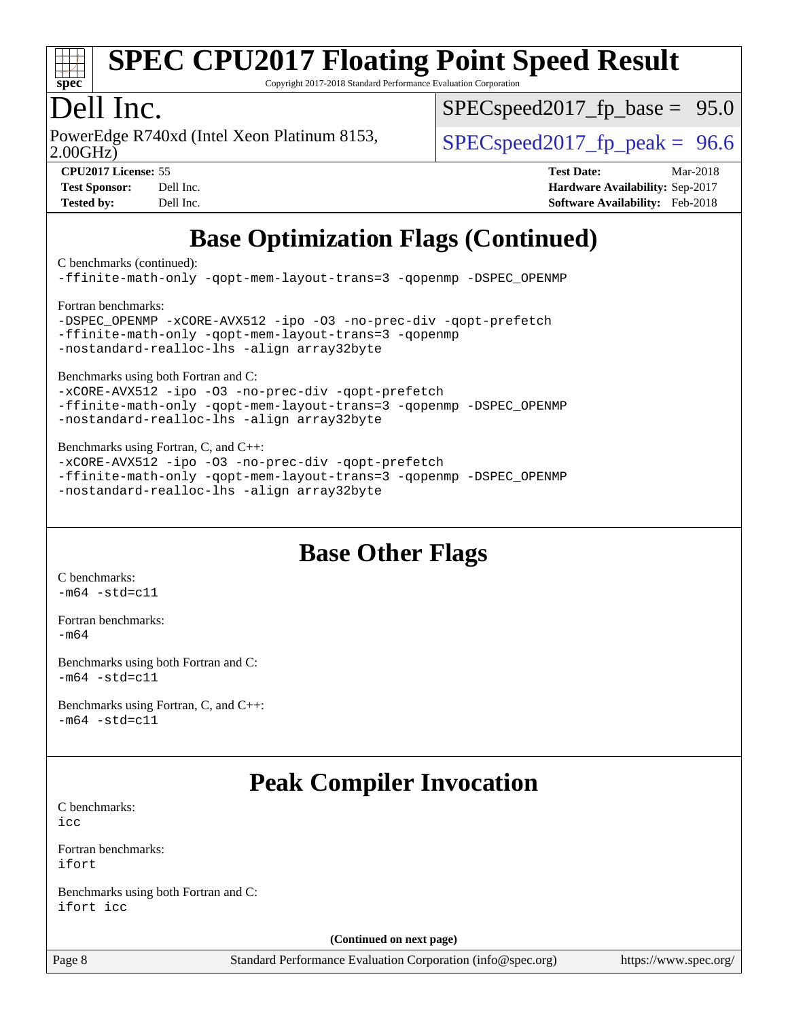

Copyright 2017-2018 Standard Performance Evaluation Corporation

## Dell Inc.

PowerEdge R740xd (Intel Xeon Platinum 8153,  $\vert$  [SPECspeed2017\\_fp\\_peak =](http://www.spec.org/auto/cpu2017/Docs/result-fields.html#SPECspeed2017fppeak) 96.6

 $SPECspeed2017_fp\_base = 95.0$ 

2.00GHz)

**[CPU2017 License:](http://www.spec.org/auto/cpu2017/Docs/result-fields.html#CPU2017License)** 55 **[Test Date:](http://www.spec.org/auto/cpu2017/Docs/result-fields.html#TestDate)** Mar-2018 **[Test Sponsor:](http://www.spec.org/auto/cpu2017/Docs/result-fields.html#TestSponsor)** Dell Inc. **[Hardware Availability:](http://www.spec.org/auto/cpu2017/Docs/result-fields.html#HardwareAvailability)** Sep-2017 **[Tested by:](http://www.spec.org/auto/cpu2017/Docs/result-fields.html#Testedby)** Dell Inc. **[Software Availability:](http://www.spec.org/auto/cpu2017/Docs/result-fields.html#SoftwareAvailability)** Feb-2018

## **[Base Optimization Flags \(Continued\)](http://www.spec.org/auto/cpu2017/Docs/result-fields.html#BaseOptimizationFlags)**

[C benchmarks](http://www.spec.org/auto/cpu2017/Docs/result-fields.html#Cbenchmarks) (continued):

[-ffinite-math-only](http://www.spec.org/cpu2017/results/res2018q2/cpu2017-20180416-04976.flags.html#user_CCbase_f_finite_math_only_cb91587bd2077682c4b38af759c288ed7c732db004271a9512da14a4f8007909a5f1427ecbf1a0fb78ff2a814402c6114ac565ca162485bbcae155b5e4258871) [-qopt-mem-layout-trans=3](http://www.spec.org/cpu2017/results/res2018q2/cpu2017-20180416-04976.flags.html#user_CCbase_f-qopt-mem-layout-trans_de80db37974c74b1f0e20d883f0b675c88c3b01e9d123adea9b28688d64333345fb62bc4a798493513fdb68f60282f9a726aa07f478b2f7113531aecce732043) [-qopenmp](http://www.spec.org/cpu2017/results/res2018q2/cpu2017-20180416-04976.flags.html#user_CCbase_qopenmp_16be0c44f24f464004c6784a7acb94aca937f053568ce72f94b139a11c7c168634a55f6653758ddd83bcf7b8463e8028bb0b48b77bcddc6b78d5d95bb1df2967) [-DSPEC\\_OPENMP](http://www.spec.org/cpu2017/results/res2018q2/cpu2017-20180416-04976.flags.html#suite_CCbase_DSPEC_OPENMP) [Fortran benchmarks](http://www.spec.org/auto/cpu2017/Docs/result-fields.html#Fortranbenchmarks): [-DSPEC\\_OPENMP](http://www.spec.org/cpu2017/results/res2018q2/cpu2017-20180416-04976.flags.html#suite_FCbase_DSPEC_OPENMP) [-xCORE-AVX512](http://www.spec.org/cpu2017/results/res2018q2/cpu2017-20180416-04976.flags.html#user_FCbase_f-xCORE-AVX512) [-ipo](http://www.spec.org/cpu2017/results/res2018q2/cpu2017-20180416-04976.flags.html#user_FCbase_f-ipo) [-O3](http://www.spec.org/cpu2017/results/res2018q2/cpu2017-20180416-04976.flags.html#user_FCbase_f-O3) [-no-prec-div](http://www.spec.org/cpu2017/results/res2018q2/cpu2017-20180416-04976.flags.html#user_FCbase_f-no-prec-div) [-qopt-prefetch](http://www.spec.org/cpu2017/results/res2018q2/cpu2017-20180416-04976.flags.html#user_FCbase_f-qopt-prefetch) [-ffinite-math-only](http://www.spec.org/cpu2017/results/res2018q2/cpu2017-20180416-04976.flags.html#user_FCbase_f_finite_math_only_cb91587bd2077682c4b38af759c288ed7c732db004271a9512da14a4f8007909a5f1427ecbf1a0fb78ff2a814402c6114ac565ca162485bbcae155b5e4258871) [-qopt-mem-layout-trans=3](http://www.spec.org/cpu2017/results/res2018q2/cpu2017-20180416-04976.flags.html#user_FCbase_f-qopt-mem-layout-trans_de80db37974c74b1f0e20d883f0b675c88c3b01e9d123adea9b28688d64333345fb62bc4a798493513fdb68f60282f9a726aa07f478b2f7113531aecce732043) [-qopenmp](http://www.spec.org/cpu2017/results/res2018q2/cpu2017-20180416-04976.flags.html#user_FCbase_qopenmp_16be0c44f24f464004c6784a7acb94aca937f053568ce72f94b139a11c7c168634a55f6653758ddd83bcf7b8463e8028bb0b48b77bcddc6b78d5d95bb1df2967) [-nostandard-realloc-lhs](http://www.spec.org/cpu2017/results/res2018q2/cpu2017-20180416-04976.flags.html#user_FCbase_f_2003_std_realloc_82b4557e90729c0f113870c07e44d33d6f5a304b4f63d4c15d2d0f1fab99f5daaed73bdb9275d9ae411527f28b936061aa8b9c8f2d63842963b95c9dd6426b8a) [-align array32byte](http://www.spec.org/cpu2017/results/res2018q2/cpu2017-20180416-04976.flags.html#user_FCbase_align_array32byte_b982fe038af199962ba9a80c053b8342c548c85b40b8e86eb3cc33dee0d7986a4af373ac2d51c3f7cf710a18d62fdce2948f201cd044323541f22fc0fffc51b6)

[Benchmarks using both Fortran and C](http://www.spec.org/auto/cpu2017/Docs/result-fields.html#BenchmarksusingbothFortranandC):

[-xCORE-AVX512](http://www.spec.org/cpu2017/results/res2018q2/cpu2017-20180416-04976.flags.html#user_CC_FCbase_f-xCORE-AVX512) [-ipo](http://www.spec.org/cpu2017/results/res2018q2/cpu2017-20180416-04976.flags.html#user_CC_FCbase_f-ipo) [-O3](http://www.spec.org/cpu2017/results/res2018q2/cpu2017-20180416-04976.flags.html#user_CC_FCbase_f-O3) [-no-prec-div](http://www.spec.org/cpu2017/results/res2018q2/cpu2017-20180416-04976.flags.html#user_CC_FCbase_f-no-prec-div) [-qopt-prefetch](http://www.spec.org/cpu2017/results/res2018q2/cpu2017-20180416-04976.flags.html#user_CC_FCbase_f-qopt-prefetch) [-ffinite-math-only](http://www.spec.org/cpu2017/results/res2018q2/cpu2017-20180416-04976.flags.html#user_CC_FCbase_f_finite_math_only_cb91587bd2077682c4b38af759c288ed7c732db004271a9512da14a4f8007909a5f1427ecbf1a0fb78ff2a814402c6114ac565ca162485bbcae155b5e4258871) [-qopt-mem-layout-trans=3](http://www.spec.org/cpu2017/results/res2018q2/cpu2017-20180416-04976.flags.html#user_CC_FCbase_f-qopt-mem-layout-trans_de80db37974c74b1f0e20d883f0b675c88c3b01e9d123adea9b28688d64333345fb62bc4a798493513fdb68f60282f9a726aa07f478b2f7113531aecce732043) [-qopenmp](http://www.spec.org/cpu2017/results/res2018q2/cpu2017-20180416-04976.flags.html#user_CC_FCbase_qopenmp_16be0c44f24f464004c6784a7acb94aca937f053568ce72f94b139a11c7c168634a55f6653758ddd83bcf7b8463e8028bb0b48b77bcddc6b78d5d95bb1df2967) [-DSPEC\\_OPENMP](http://www.spec.org/cpu2017/results/res2018q2/cpu2017-20180416-04976.flags.html#suite_CC_FCbase_DSPEC_OPENMP) [-nostandard-realloc-lhs](http://www.spec.org/cpu2017/results/res2018q2/cpu2017-20180416-04976.flags.html#user_CC_FCbase_f_2003_std_realloc_82b4557e90729c0f113870c07e44d33d6f5a304b4f63d4c15d2d0f1fab99f5daaed73bdb9275d9ae411527f28b936061aa8b9c8f2d63842963b95c9dd6426b8a) [-align array32byte](http://www.spec.org/cpu2017/results/res2018q2/cpu2017-20180416-04976.flags.html#user_CC_FCbase_align_array32byte_b982fe038af199962ba9a80c053b8342c548c85b40b8e86eb3cc33dee0d7986a4af373ac2d51c3f7cf710a18d62fdce2948f201cd044323541f22fc0fffc51b6)

[Benchmarks using Fortran, C, and C++:](http://www.spec.org/auto/cpu2017/Docs/result-fields.html#BenchmarksusingFortranCandCXX)

[-xCORE-AVX512](http://www.spec.org/cpu2017/results/res2018q2/cpu2017-20180416-04976.flags.html#user_CC_CXX_FCbase_f-xCORE-AVX512) [-ipo](http://www.spec.org/cpu2017/results/res2018q2/cpu2017-20180416-04976.flags.html#user_CC_CXX_FCbase_f-ipo) [-O3](http://www.spec.org/cpu2017/results/res2018q2/cpu2017-20180416-04976.flags.html#user_CC_CXX_FCbase_f-O3) [-no-prec-div](http://www.spec.org/cpu2017/results/res2018q2/cpu2017-20180416-04976.flags.html#user_CC_CXX_FCbase_f-no-prec-div) [-qopt-prefetch](http://www.spec.org/cpu2017/results/res2018q2/cpu2017-20180416-04976.flags.html#user_CC_CXX_FCbase_f-qopt-prefetch) [-ffinite-math-only](http://www.spec.org/cpu2017/results/res2018q2/cpu2017-20180416-04976.flags.html#user_CC_CXX_FCbase_f_finite_math_only_cb91587bd2077682c4b38af759c288ed7c732db004271a9512da14a4f8007909a5f1427ecbf1a0fb78ff2a814402c6114ac565ca162485bbcae155b5e4258871) [-qopt-mem-layout-trans=3](http://www.spec.org/cpu2017/results/res2018q2/cpu2017-20180416-04976.flags.html#user_CC_CXX_FCbase_f-qopt-mem-layout-trans_de80db37974c74b1f0e20d883f0b675c88c3b01e9d123adea9b28688d64333345fb62bc4a798493513fdb68f60282f9a726aa07f478b2f7113531aecce732043) [-qopenmp](http://www.spec.org/cpu2017/results/res2018q2/cpu2017-20180416-04976.flags.html#user_CC_CXX_FCbase_qopenmp_16be0c44f24f464004c6784a7acb94aca937f053568ce72f94b139a11c7c168634a55f6653758ddd83bcf7b8463e8028bb0b48b77bcddc6b78d5d95bb1df2967) [-DSPEC\\_OPENMP](http://www.spec.org/cpu2017/results/res2018q2/cpu2017-20180416-04976.flags.html#suite_CC_CXX_FCbase_DSPEC_OPENMP) [-nostandard-realloc-lhs](http://www.spec.org/cpu2017/results/res2018q2/cpu2017-20180416-04976.flags.html#user_CC_CXX_FCbase_f_2003_std_realloc_82b4557e90729c0f113870c07e44d33d6f5a304b4f63d4c15d2d0f1fab99f5daaed73bdb9275d9ae411527f28b936061aa8b9c8f2d63842963b95c9dd6426b8a) [-align array32byte](http://www.spec.org/cpu2017/results/res2018q2/cpu2017-20180416-04976.flags.html#user_CC_CXX_FCbase_align_array32byte_b982fe038af199962ba9a80c053b8342c548c85b40b8e86eb3cc33dee0d7986a4af373ac2d51c3f7cf710a18d62fdce2948f201cd044323541f22fc0fffc51b6)

#### **[Base Other Flags](http://www.spec.org/auto/cpu2017/Docs/result-fields.html#BaseOtherFlags)**

[C benchmarks](http://www.spec.org/auto/cpu2017/Docs/result-fields.html#Cbenchmarks):  $-m64 - std = c11$  $-m64 - std = c11$ 

[Fortran benchmarks](http://www.spec.org/auto/cpu2017/Docs/result-fields.html#Fortranbenchmarks): [-m64](http://www.spec.org/cpu2017/results/res2018q2/cpu2017-20180416-04976.flags.html#user_FCbase_intel_intel64_18.0_af43caccfc8ded86e7699f2159af6efc7655f51387b94da716254467f3c01020a5059329e2569e4053f409e7c9202a7efc638f7a6d1ffb3f52dea4a3e31d82ab)

[Benchmarks using both Fortran and C](http://www.spec.org/auto/cpu2017/Docs/result-fields.html#BenchmarksusingbothFortranandC):  $-m64 - std = c11$  $-m64 - std = c11$ 

[Benchmarks using Fortran, C, and C++:](http://www.spec.org/auto/cpu2017/Docs/result-fields.html#BenchmarksusingFortranCandCXX)  $-m64 - std = c11$  $-m64 - std = c11$ 

## **[Peak Compiler Invocation](http://www.spec.org/auto/cpu2017/Docs/result-fields.html#PeakCompilerInvocation)**

[C benchmarks](http://www.spec.org/auto/cpu2017/Docs/result-fields.html#Cbenchmarks): [icc](http://www.spec.org/cpu2017/results/res2018q2/cpu2017-20180416-04976.flags.html#user_CCpeak_intel_icc_18.0_66fc1ee009f7361af1fbd72ca7dcefbb700085f36577c54f309893dd4ec40d12360134090235512931783d35fd58c0460139e722d5067c5574d8eaf2b3e37e92)

[Fortran benchmarks](http://www.spec.org/auto/cpu2017/Docs/result-fields.html#Fortranbenchmarks): [ifort](http://www.spec.org/cpu2017/results/res2018q2/cpu2017-20180416-04976.flags.html#user_FCpeak_intel_ifort_18.0_8111460550e3ca792625aed983ce982f94888b8b503583aa7ba2b8303487b4d8a21a13e7191a45c5fd58ff318f48f9492884d4413fa793fd88dd292cad7027ca)

[Benchmarks using both Fortran and C](http://www.spec.org/auto/cpu2017/Docs/result-fields.html#BenchmarksusingbothFortranandC): [ifort](http://www.spec.org/cpu2017/results/res2018q2/cpu2017-20180416-04976.flags.html#user_CC_FCpeak_intel_ifort_18.0_8111460550e3ca792625aed983ce982f94888b8b503583aa7ba2b8303487b4d8a21a13e7191a45c5fd58ff318f48f9492884d4413fa793fd88dd292cad7027ca) [icc](http://www.spec.org/cpu2017/results/res2018q2/cpu2017-20180416-04976.flags.html#user_CC_FCpeak_intel_icc_18.0_66fc1ee009f7361af1fbd72ca7dcefbb700085f36577c54f309893dd4ec40d12360134090235512931783d35fd58c0460139e722d5067c5574d8eaf2b3e37e92)

**(Continued on next page)**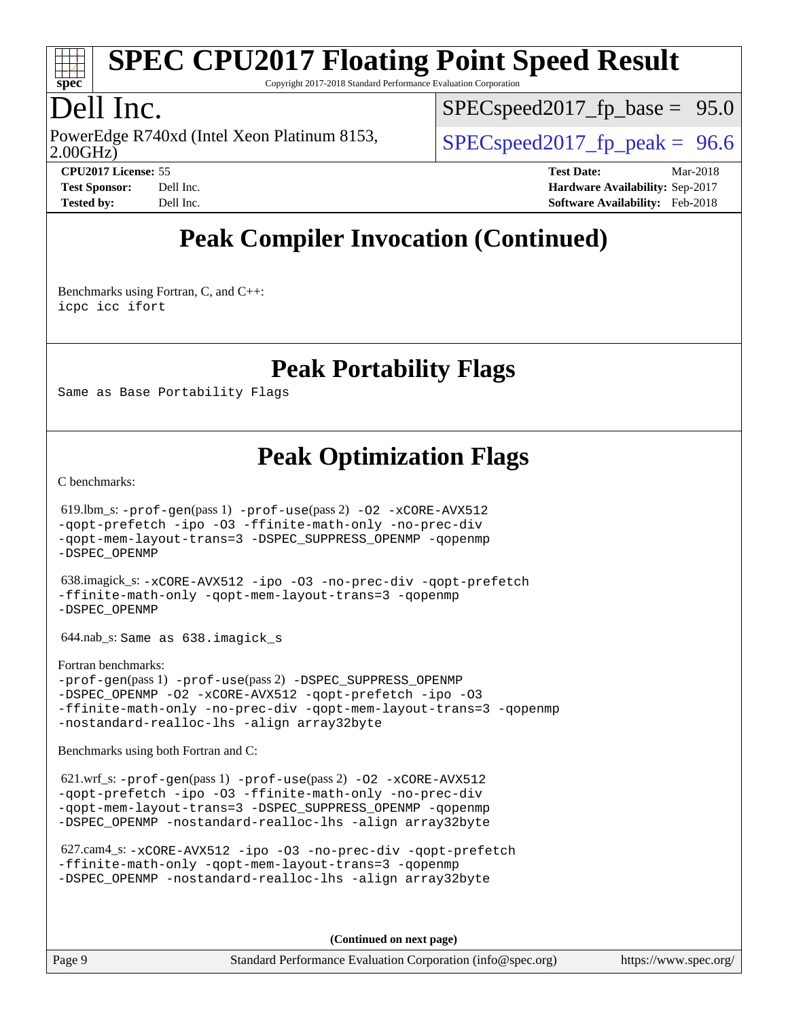

Copyright 2017-2018 Standard Performance Evaluation Corporation

## Dell Inc.

2.00GHz) PowerEdge R740xd (Intel Xeon Platinum 8153,  $\vert$  [SPECspeed2017\\_fp\\_peak =](http://www.spec.org/auto/cpu2017/Docs/result-fields.html#SPECspeed2017fppeak) 96.6

 $SPECspeed2017_fp\_base = 95.0$ 

**[CPU2017 License:](http://www.spec.org/auto/cpu2017/Docs/result-fields.html#CPU2017License)** 55 **[Test Date:](http://www.spec.org/auto/cpu2017/Docs/result-fields.html#TestDate)** Mar-2018 **[Test Sponsor:](http://www.spec.org/auto/cpu2017/Docs/result-fields.html#TestSponsor)** Dell Inc. **[Hardware Availability:](http://www.spec.org/auto/cpu2017/Docs/result-fields.html#HardwareAvailability)** Sep-2017 **[Tested by:](http://www.spec.org/auto/cpu2017/Docs/result-fields.html#Testedby)** Dell Inc. **[Software Availability:](http://www.spec.org/auto/cpu2017/Docs/result-fields.html#SoftwareAvailability)** Feb-2018

## **[Peak Compiler Invocation \(Continued\)](http://www.spec.org/auto/cpu2017/Docs/result-fields.html#PeakCompilerInvocation)**

[Benchmarks using Fortran, C, and C++:](http://www.spec.org/auto/cpu2017/Docs/result-fields.html#BenchmarksusingFortranCandCXX) [icpc](http://www.spec.org/cpu2017/results/res2018q2/cpu2017-20180416-04976.flags.html#user_CC_CXX_FCpeak_intel_icpc_18.0_c510b6838c7f56d33e37e94d029a35b4a7bccf4766a728ee175e80a419847e808290a9b78be685c44ab727ea267ec2f070ec5dc83b407c0218cded6866a35d07) [icc](http://www.spec.org/cpu2017/results/res2018q2/cpu2017-20180416-04976.flags.html#user_CC_CXX_FCpeak_intel_icc_18.0_66fc1ee009f7361af1fbd72ca7dcefbb700085f36577c54f309893dd4ec40d12360134090235512931783d35fd58c0460139e722d5067c5574d8eaf2b3e37e92) [ifort](http://www.spec.org/cpu2017/results/res2018q2/cpu2017-20180416-04976.flags.html#user_CC_CXX_FCpeak_intel_ifort_18.0_8111460550e3ca792625aed983ce982f94888b8b503583aa7ba2b8303487b4d8a21a13e7191a45c5fd58ff318f48f9492884d4413fa793fd88dd292cad7027ca)

#### **[Peak Portability Flags](http://www.spec.org/auto/cpu2017/Docs/result-fields.html#PeakPortabilityFlags)**

Same as Base Portability Flags

#### **[Peak Optimization Flags](http://www.spec.org/auto/cpu2017/Docs/result-fields.html#PeakOptimizationFlags)**

[C benchmarks](http://www.spec.org/auto/cpu2017/Docs/result-fields.html#Cbenchmarks):

 619.lbm\_s: [-prof-gen](http://www.spec.org/cpu2017/results/res2018q2/cpu2017-20180416-04976.flags.html#user_peakPASS1_CFLAGSPASS1_LDFLAGS619_lbm_s_prof_gen_5aa4926d6013ddb2a31985c654b3eb18169fc0c6952a63635c234f711e6e63dd76e94ad52365559451ec499a2cdb89e4dc58ba4c67ef54ca681ffbe1461d6b36)(pass 1) [-prof-use](http://www.spec.org/cpu2017/results/res2018q2/cpu2017-20180416-04976.flags.html#user_peakPASS2_CFLAGSPASS2_LDFLAGS619_lbm_s_prof_use_1a21ceae95f36a2b53c25747139a6c16ca95bd9def2a207b4f0849963b97e94f5260e30a0c64f4bb623698870e679ca08317ef8150905d41bd88c6f78df73f19)(pass 2) [-O2](http://www.spec.org/cpu2017/results/res2018q2/cpu2017-20180416-04976.flags.html#user_peakPASS1_COPTIMIZE619_lbm_s_f-O2) [-xCORE-AVX512](http://www.spec.org/cpu2017/results/res2018q2/cpu2017-20180416-04976.flags.html#user_peakPASS2_COPTIMIZE619_lbm_s_f-xCORE-AVX512) [-qopt-prefetch](http://www.spec.org/cpu2017/results/res2018q2/cpu2017-20180416-04976.flags.html#user_peakPASS1_COPTIMIZEPASS2_COPTIMIZE619_lbm_s_f-qopt-prefetch) [-ipo](http://www.spec.org/cpu2017/results/res2018q2/cpu2017-20180416-04976.flags.html#user_peakPASS2_COPTIMIZE619_lbm_s_f-ipo) [-O3](http://www.spec.org/cpu2017/results/res2018q2/cpu2017-20180416-04976.flags.html#user_peakPASS2_COPTIMIZE619_lbm_s_f-O3) [-ffinite-math-only](http://www.spec.org/cpu2017/results/res2018q2/cpu2017-20180416-04976.flags.html#user_peakPASS1_COPTIMIZEPASS2_COPTIMIZE619_lbm_s_f_finite_math_only_cb91587bd2077682c4b38af759c288ed7c732db004271a9512da14a4f8007909a5f1427ecbf1a0fb78ff2a814402c6114ac565ca162485bbcae155b5e4258871) [-no-prec-div](http://www.spec.org/cpu2017/results/res2018q2/cpu2017-20180416-04976.flags.html#user_peakPASS2_COPTIMIZE619_lbm_s_f-no-prec-div) [-qopt-mem-layout-trans=3](http://www.spec.org/cpu2017/results/res2018q2/cpu2017-20180416-04976.flags.html#user_peakPASS1_COPTIMIZEPASS2_COPTIMIZE619_lbm_s_f-qopt-mem-layout-trans_de80db37974c74b1f0e20d883f0b675c88c3b01e9d123adea9b28688d64333345fb62bc4a798493513fdb68f60282f9a726aa07f478b2f7113531aecce732043) [-DSPEC\\_SUPPRESS\\_OPENMP](http://www.spec.org/cpu2017/results/res2018q2/cpu2017-20180416-04976.flags.html#suite_peakPASS1_COPTIMIZE619_lbm_s_DSPEC_SUPPRESS_OPENMP) [-qopenmp](http://www.spec.org/cpu2017/results/res2018q2/cpu2017-20180416-04976.flags.html#user_peakPASS2_COPTIMIZE619_lbm_s_qopenmp_16be0c44f24f464004c6784a7acb94aca937f053568ce72f94b139a11c7c168634a55f6653758ddd83bcf7b8463e8028bb0b48b77bcddc6b78d5d95bb1df2967) [-DSPEC\\_OPENMP](http://www.spec.org/cpu2017/results/res2018q2/cpu2017-20180416-04976.flags.html#suite_peakPASS2_COPTIMIZE619_lbm_s_DSPEC_OPENMP)

 638.imagick\_s: [-xCORE-AVX512](http://www.spec.org/cpu2017/results/res2018q2/cpu2017-20180416-04976.flags.html#user_peakCOPTIMIZE638_imagick_s_f-xCORE-AVX512) [-ipo](http://www.spec.org/cpu2017/results/res2018q2/cpu2017-20180416-04976.flags.html#user_peakCOPTIMIZE638_imagick_s_f-ipo) [-O3](http://www.spec.org/cpu2017/results/res2018q2/cpu2017-20180416-04976.flags.html#user_peakCOPTIMIZE638_imagick_s_f-O3) [-no-prec-div](http://www.spec.org/cpu2017/results/res2018q2/cpu2017-20180416-04976.flags.html#user_peakCOPTIMIZE638_imagick_s_f-no-prec-div) [-qopt-prefetch](http://www.spec.org/cpu2017/results/res2018q2/cpu2017-20180416-04976.flags.html#user_peakCOPTIMIZE638_imagick_s_f-qopt-prefetch) [-ffinite-math-only](http://www.spec.org/cpu2017/results/res2018q2/cpu2017-20180416-04976.flags.html#user_peakCOPTIMIZE638_imagick_s_f_finite_math_only_cb91587bd2077682c4b38af759c288ed7c732db004271a9512da14a4f8007909a5f1427ecbf1a0fb78ff2a814402c6114ac565ca162485bbcae155b5e4258871) [-qopt-mem-layout-trans=3](http://www.spec.org/cpu2017/results/res2018q2/cpu2017-20180416-04976.flags.html#user_peakCOPTIMIZE638_imagick_s_f-qopt-mem-layout-trans_de80db37974c74b1f0e20d883f0b675c88c3b01e9d123adea9b28688d64333345fb62bc4a798493513fdb68f60282f9a726aa07f478b2f7113531aecce732043) [-qopenmp](http://www.spec.org/cpu2017/results/res2018q2/cpu2017-20180416-04976.flags.html#user_peakCOPTIMIZE638_imagick_s_qopenmp_16be0c44f24f464004c6784a7acb94aca937f053568ce72f94b139a11c7c168634a55f6653758ddd83bcf7b8463e8028bb0b48b77bcddc6b78d5d95bb1df2967) [-DSPEC\\_OPENMP](http://www.spec.org/cpu2017/results/res2018q2/cpu2017-20180416-04976.flags.html#suite_peakCOPTIMIZE638_imagick_s_DSPEC_OPENMP)

644.nab\_s: Same as 638.imagick\_s

[Fortran benchmarks](http://www.spec.org/auto/cpu2017/Docs/result-fields.html#Fortranbenchmarks): [-prof-gen](http://www.spec.org/cpu2017/results/res2018q2/cpu2017-20180416-04976.flags.html#user_FCpeak_prof_gen_5aa4926d6013ddb2a31985c654b3eb18169fc0c6952a63635c234f711e6e63dd76e94ad52365559451ec499a2cdb89e4dc58ba4c67ef54ca681ffbe1461d6b36)(pass 1) [-prof-use](http://www.spec.org/cpu2017/results/res2018q2/cpu2017-20180416-04976.flags.html#user_FCpeak_prof_use_1a21ceae95f36a2b53c25747139a6c16ca95bd9def2a207b4f0849963b97e94f5260e30a0c64f4bb623698870e679ca08317ef8150905d41bd88c6f78df73f19)(pass 2) [-DSPEC\\_SUPPRESS\\_OPENMP](http://www.spec.org/cpu2017/results/res2018q2/cpu2017-20180416-04976.flags.html#suite_FCpeak_DSPEC_SUPPRESS_OPENMP) [-DSPEC\\_OPENMP](http://www.spec.org/cpu2017/results/res2018q2/cpu2017-20180416-04976.flags.html#suite_FCpeak_DSPEC_OPENMP) [-O2](http://www.spec.org/cpu2017/results/res2018q2/cpu2017-20180416-04976.flags.html#user_FCpeak_f-O2) [-xCORE-AVX512](http://www.spec.org/cpu2017/results/res2018q2/cpu2017-20180416-04976.flags.html#user_FCpeak_f-xCORE-AVX512) [-qopt-prefetch](http://www.spec.org/cpu2017/results/res2018q2/cpu2017-20180416-04976.flags.html#user_FCpeak_f-qopt-prefetch) [-ipo](http://www.spec.org/cpu2017/results/res2018q2/cpu2017-20180416-04976.flags.html#user_FCpeak_f-ipo) [-O3](http://www.spec.org/cpu2017/results/res2018q2/cpu2017-20180416-04976.flags.html#user_FCpeak_f-O3) [-ffinite-math-only](http://www.spec.org/cpu2017/results/res2018q2/cpu2017-20180416-04976.flags.html#user_FCpeak_f_finite_math_only_cb91587bd2077682c4b38af759c288ed7c732db004271a9512da14a4f8007909a5f1427ecbf1a0fb78ff2a814402c6114ac565ca162485bbcae155b5e4258871) [-no-prec-div](http://www.spec.org/cpu2017/results/res2018q2/cpu2017-20180416-04976.flags.html#user_FCpeak_f-no-prec-div) [-qopt-mem-layout-trans=3](http://www.spec.org/cpu2017/results/res2018q2/cpu2017-20180416-04976.flags.html#user_FCpeak_f-qopt-mem-layout-trans_de80db37974c74b1f0e20d883f0b675c88c3b01e9d123adea9b28688d64333345fb62bc4a798493513fdb68f60282f9a726aa07f478b2f7113531aecce732043) [-qopenmp](http://www.spec.org/cpu2017/results/res2018q2/cpu2017-20180416-04976.flags.html#user_FCpeak_qopenmp_16be0c44f24f464004c6784a7acb94aca937f053568ce72f94b139a11c7c168634a55f6653758ddd83bcf7b8463e8028bb0b48b77bcddc6b78d5d95bb1df2967) [-nostandard-realloc-lhs](http://www.spec.org/cpu2017/results/res2018q2/cpu2017-20180416-04976.flags.html#user_FCpeak_f_2003_std_realloc_82b4557e90729c0f113870c07e44d33d6f5a304b4f63d4c15d2d0f1fab99f5daaed73bdb9275d9ae411527f28b936061aa8b9c8f2d63842963b95c9dd6426b8a) [-align array32byte](http://www.spec.org/cpu2017/results/res2018q2/cpu2017-20180416-04976.flags.html#user_FCpeak_align_array32byte_b982fe038af199962ba9a80c053b8342c548c85b40b8e86eb3cc33dee0d7986a4af373ac2d51c3f7cf710a18d62fdce2948f201cd044323541f22fc0fffc51b6)

[Benchmarks using both Fortran and C](http://www.spec.org/auto/cpu2017/Docs/result-fields.html#BenchmarksusingbothFortranandC):

621.wrf\_s:  $-\text{prof-gen}(pass 1) -\text{prof-use}(pass 2) -\text{O2} -\text{xCORE-AVX512}$ [-qopt-prefetch](http://www.spec.org/cpu2017/results/res2018q2/cpu2017-20180416-04976.flags.html#user_peakPASS1_COPTIMIZEPASS1_FOPTIMIZEPASS2_COPTIMIZEPASS2_FOPTIMIZE621_wrf_s_f-qopt-prefetch) [-ipo](http://www.spec.org/cpu2017/results/res2018q2/cpu2017-20180416-04976.flags.html#user_peakPASS2_COPTIMIZEPASS2_FOPTIMIZE621_wrf_s_f-ipo) [-O3](http://www.spec.org/cpu2017/results/res2018q2/cpu2017-20180416-04976.flags.html#user_peakPASS2_COPTIMIZEPASS2_FOPTIMIZE621_wrf_s_f-O3) [-ffinite-math-only](http://www.spec.org/cpu2017/results/res2018q2/cpu2017-20180416-04976.flags.html#user_peakPASS1_COPTIMIZEPASS1_FOPTIMIZEPASS2_COPTIMIZEPASS2_FOPTIMIZE621_wrf_s_f_finite_math_only_cb91587bd2077682c4b38af759c288ed7c732db004271a9512da14a4f8007909a5f1427ecbf1a0fb78ff2a814402c6114ac565ca162485bbcae155b5e4258871) [-no-prec-div](http://www.spec.org/cpu2017/results/res2018q2/cpu2017-20180416-04976.flags.html#user_peakPASS2_COPTIMIZEPASS2_FOPTIMIZE621_wrf_s_f-no-prec-div) [-qopt-mem-layout-trans=3](http://www.spec.org/cpu2017/results/res2018q2/cpu2017-20180416-04976.flags.html#user_peakPASS1_COPTIMIZEPASS1_FOPTIMIZEPASS2_COPTIMIZEPASS2_FOPTIMIZE621_wrf_s_f-qopt-mem-layout-trans_de80db37974c74b1f0e20d883f0b675c88c3b01e9d123adea9b28688d64333345fb62bc4a798493513fdb68f60282f9a726aa07f478b2f7113531aecce732043) [-DSPEC\\_SUPPRESS\\_OPENMP](http://www.spec.org/cpu2017/results/res2018q2/cpu2017-20180416-04976.flags.html#suite_peakPASS1_COPTIMIZEPASS1_FOPTIMIZE621_wrf_s_DSPEC_SUPPRESS_OPENMP) [-qopenmp](http://www.spec.org/cpu2017/results/res2018q2/cpu2017-20180416-04976.flags.html#user_peakPASS2_COPTIMIZEPASS2_FOPTIMIZE621_wrf_s_qopenmp_16be0c44f24f464004c6784a7acb94aca937f053568ce72f94b139a11c7c168634a55f6653758ddd83bcf7b8463e8028bb0b48b77bcddc6b78d5d95bb1df2967) [-DSPEC\\_OPENMP](http://www.spec.org/cpu2017/results/res2018q2/cpu2017-20180416-04976.flags.html#suite_peakPASS2_COPTIMIZEPASS2_FOPTIMIZE621_wrf_s_DSPEC_OPENMP) [-nostandard-realloc-lhs](http://www.spec.org/cpu2017/results/res2018q2/cpu2017-20180416-04976.flags.html#user_peakEXTRA_FOPTIMIZE621_wrf_s_f_2003_std_realloc_82b4557e90729c0f113870c07e44d33d6f5a304b4f63d4c15d2d0f1fab99f5daaed73bdb9275d9ae411527f28b936061aa8b9c8f2d63842963b95c9dd6426b8a) [-align array32byte](http://www.spec.org/cpu2017/results/res2018q2/cpu2017-20180416-04976.flags.html#user_peakEXTRA_FOPTIMIZE621_wrf_s_align_array32byte_b982fe038af199962ba9a80c053b8342c548c85b40b8e86eb3cc33dee0d7986a4af373ac2d51c3f7cf710a18d62fdce2948f201cd044323541f22fc0fffc51b6)

```
 627.cam4_s: -xCORE-AVX512 -ipo -O3 -no-prec-div -qopt-prefetch
-ffinite-math-only -qopt-mem-layout-trans=3 -qopenmp
-DSPEC_OPENMP -nostandard-realloc-lhs -align array32byte
```
**(Continued on next page)**